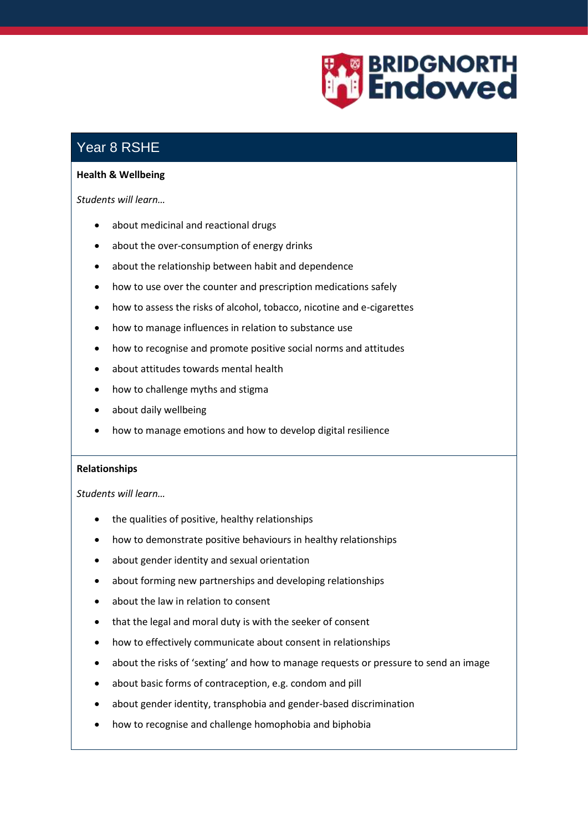

## Year 8 RSHE

## **Health & Wellbeing**

*Students will learn…*

- about medicinal and reactional drugs
- about the over-consumption of energy drinks
- about the relationship between habit and dependence
- how to use over the counter and prescription medications safely
- how to assess the risks of alcohol, tobacco, nicotine and e-cigarettes
- how to manage influences in relation to substance use
- how to recognise and promote positive social norms and attitudes
- about attitudes towards mental health
- how to challenge myths and stigma
- about daily wellbeing
- how to manage emotions and how to develop digital resilience

## **Relationships**

*Students will learn…*

- the qualities of positive, healthy relationships
- how to demonstrate positive behaviours in healthy relationships
- about gender identity and sexual orientation
- about forming new partnerships and developing relationships
- about the law in relation to consent
- that the legal and moral duty is with the seeker of consent
- how to effectively communicate about consent in relationships
- about the risks of 'sexting' and how to manage requests or pressure to send an image
- about basic forms of contraception, e.g. condom and pill
- about gender identity, transphobia and gender-based discrimination
- how to recognise and challenge homophobia and biphobia